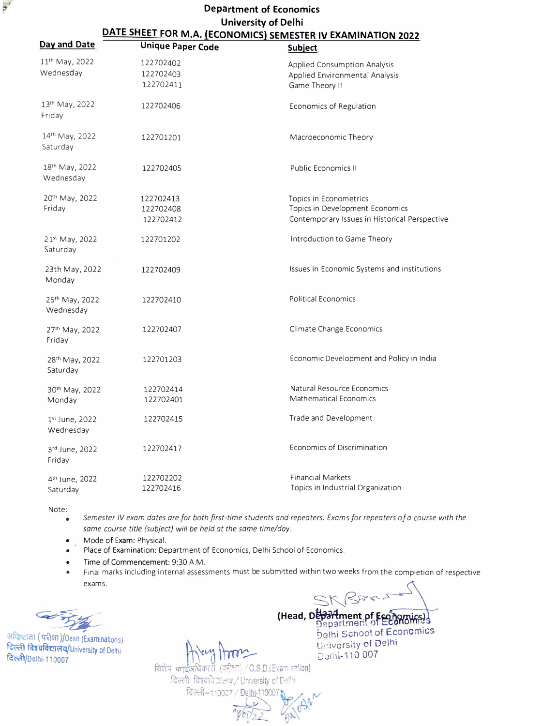## **Department of Economics University of Delhi DATE SHEET FOR M.A. (ECONOMICS) SEMESTER IV EXAMINATION 2022**

| Day and Date                | <b>Unique Paper Code</b> | <b>Subject</b>                                |
|-----------------------------|--------------------------|-----------------------------------------------|
| 11 <sup>th</sup> May, 2022  | 122702402                | <b>Applied Consumption Analysis</b>           |
| Wednesday                   | 122702403                | Applied Environmental Analysis                |
|                             | 122702411                | Game Theory II                                |
| 13th May, 2022<br>Friday    | 122702406                | Economics of Regulation                       |
| 14th May, 2022<br>Saturday  | 122701201                | Macroeconomic Theory                          |
| 18th May, 2022<br>Wednesday | 122702405                | <b>Public Economics II</b>                    |
| 20th May, 2022              | 122702413                | Topics in Econometrics                        |
| Friday                      | 122702408                | Topics in Development Economics               |
|                             | 122702412                | Contemporary Issues in Historical Perspective |
| 21st May, 2022<br>Saturday  | 122701202                | Introduction to Game Theory                   |
| 23th May, 2022<br>Monday    | 122702409                | Issues in Economic Systems and Institutions   |
| 25th May, 2022<br>Wednesday | 122702410                | <b>Political Economics</b>                    |
| 27th May, 2022<br>Friday    | 122702407                | Climate Change Economics                      |
| 28th May, 2022<br>Saturday  | 122701203                | Economic Development and Policy in India      |
| 30th May, 2022              | 122702414                | Natural Resource Economics                    |
| Monday                      | 122702401                | <b>Mathematical Economics</b>                 |
| 1st June, 2022<br>Wednesday | 122702415                | Trade and Development                         |
| 3rd June, 2022<br>Friday    | 122702417                | Economics of Discrimination                   |
| 4 <sup>th</sup> June, 2022  | 122702202                | <b>Financial Markets</b>                      |
| Saturday                    | 122702416                | Topics in Industrial Organization             |

Note:

• *Semester IV exam dotes ore for both first-time students and repeaters. Exams for repeaters of a course with the some course title (subject) will be held at the some time/day.* 

• Mode of Exam: Physical.

Place of Examination: Department of Economics, Delhi School of Economics.

- Time of Commencement: 9:30 A.M.
- Final marks including internal assessments must be submitted within two weeks from the completion of respective exams.

अनिम्बाला (परीक्षा)/Dean (Examinations) दिल्ली विश्वविद्यालय/University of Delhi � /Delhi-110007

perini-110 007<br>avis **ordered and 110 007** धिकारी  $(\overline{u}$ ेशा $)$  / O.S.D.(Evanination)

दिल्ली-110007 / De

दिल्ली विश्वविद्यालय / University of Delhi

**(Head, Department of Economics) bethi School of Economics \ t\\_ \_\_ ,..� ti,'.iversity of Delhi** 

SK Bara.